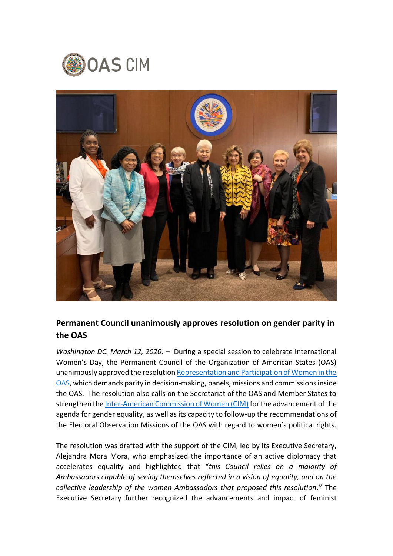



## **Permanent Council unanimously approves resolution on gender parity in the OAS**

*Washington DC. March 12, 2020*. – During a special session to celebrate International Women's Day, the Permanent Council of the Organization of American States (OAS) unanimously approved the resolution [Representation and Participation of Women in the](https://bit.ly/2WaftlF)  [OAS,](https://bit.ly/2WaftlF) which demands parity in decision-making, panels, missions and commissions inside the OAS. The resolution also calls on the Secretariat of the OAS and Member States to strengthen the [Inter-American Commission of Women \(CIM\)](http://www.oas.org/en/cim/default.asp) for the advancement of the agenda for gender equality, as well as its capacity to follow-up the recommendations of the Electoral Observation Missions of the OAS with regard to women's political rights.

The resolution was drafted with the support of the CIM, led by its Executive Secretary, Alejandra Mora Mora, who emphasized the importance of an active diplomacy that accelerates equality and highlighted that "*this Council relies on a majority of Ambassadors capable of seeing themselves reflected in a vision of equality, and on the collective leadership of the women Ambassadors that proposed this resolution*." The Executive Secretary further recognized the advancements and impact of feminist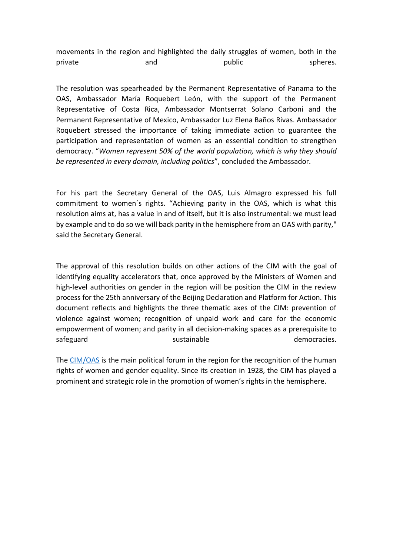movements in the region and highlighted the daily struggles of women, both in the private and and public spheres.

The resolution was spearheaded by the Permanent Representative of Panama to the OAS, Ambassador María Roquebert León, with the support of the Permanent Representative of Costa Rica, Ambassador Montserrat Solano Carboni and the Permanent Representative of Mexico, Ambassador Luz Elena Baños Rivas. Ambassador Roquebert stressed the importance of taking immediate action to guarantee the participation and representation of women as an essential condition to strengthen democracy. "*Women represent 50% of the world population, which is why they should be represented in every domain, including politics*", concluded the Ambassador.

For his part the Secretary General of the OAS, Luis Almagro expressed his full commitment to women´s rights. "Achieving parity in the OAS, which is what this resolution aims at, has a value in and of itself, but it is also instrumental: we must lead by example and to do so we will back parity in the hemisphere from an OAS with parity," said the Secretary General.

The approval of this resolution builds on other actions of the CIM with the goal of identifying equality accelerators that, once approved by the Ministers of Women and high-level authorities on gender in the region will be position the CIM in the review process for the 25th anniversary of the Beijing Declaration and Platform for Action. This document reflects and highlights the three thematic axes of the CIM: prevention of violence against women; recognition of unpaid work and care for the economic empowerment of women; and parity in all decision-making spaces as a prerequisite to safeguard sustainable sustain ble sustain the democracies.

The [CIM/OAS](http://www.oas.org/en/cim/default.asp) is the main political forum in the region for the recognition of the human rights of women and gender equality. Since its creation in 1928, the CIM has played a prominent and strategic role in the promotion of women's rights in the hemisphere.